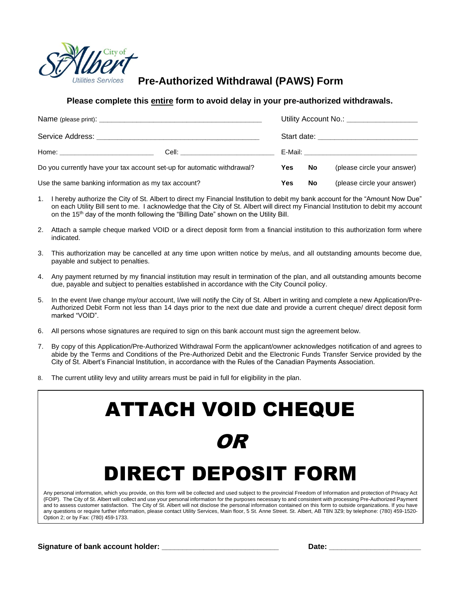

# **Pre-Authorized Withdrawal (PAWS) Form**

## **Please complete this entire form to avoid delay in your pre-authorized withdrawals.**

|                                                                         |  | Utility Account No.: ___________________ |    |                             |
|-------------------------------------------------------------------------|--|------------------------------------------|----|-----------------------------|
|                                                                         |  |                                          |    |                             |
| Do you currently have your tax account set-up for automatic withdrawal? |  | Yes                                      | No | (please circle your answer) |
| Use the same banking information as my tax account?                     |  | Yes                                      | No | (please circle your answer) |

- 1. I hereby authorize the City of St. Albert to direct my Financial Institution to debit my bank account for the "Amount Now Due" on each Utility Bill sent to me. I acknowledge that the City of St. Albert will direct my Financial Institution to debit my account on the 15<sup>th</sup> day of the month following the "Billing Date" shown on the Utility Bill.
- 2. Attach a sample cheque marked VOID or a direct deposit form from a financial institution to this authorization form where indicated.
- 3. This authorization may be cancelled at any time upon written notice by me/us, and all outstanding amounts become due, payable and subject to penalties.
- 4. Any payment returned by my financial institution may result in termination of the plan, and all outstanding amounts become due, payable and subject to penalties established in accordance with the City Council policy.
- 5. In the event I/we change my/our account, I/we will notify the City of St. Albert in writing and complete a new Application/Pre-Authorized Debit Form not less than 14 days prior to the next due date and provide a current cheque/ direct deposit form marked "VOID".
- 6. All persons whose signatures are required to sign on this bank account must sign the agreement below.
- 7. By copy of this Application/Pre-Authorized Withdrawal Form the applicant/owner acknowledges notification of and agrees to abide by the Terms and Conditions of the Pre-Authorized Debit and the Electronic Funds Transfer Service provided by the City of St. Albert's Financial Institution, in accordance with the Rules of the Canadian Payments Association.
- 8. The current utility levy and utility arrears must be paid in full for eligibility in the plan.

# ATTACH VOID CHEQUE OR DIRECT DEPOSIT FORM

Any personal information, which you provide, on this form will be collected and used subject to the provincial Freedom of Information and protection of Privacy Act (FOIP). The City of St. Albert will collect and use your personal information for the purposes necessary to and consistent with processing Pre-Authorized Payment and to assess customer satisfaction. The City of St. Albert will not disclose the personal information contained on this form to outside organizations. If you have any questions or require further information, please contact Utility Services, Main floor, 5 St. Anne Street. St. Albert, AB T8N 3Z9; by telephone: (780) 459-1520- Option 2; or by Fax: (780) 459-1733.

**Signature** of bank account holder: **with a set of the set of the set of the set of the set of the set of the set of the set of the set of the set of the set of the set of the set of the set of the set of the set of the se**